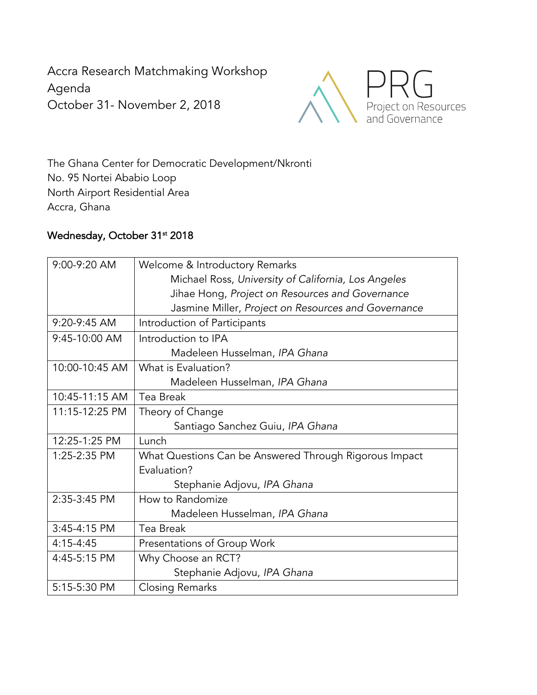Accra Research Matchmaking Workshop Agenda October 31- November 2, 2018



The Ghana Center for Democratic Development/Nkronti No. 95 Nortei Ababio Loop North Airport Residential Area Accra, Ghana

## Wednesday, October 31st 2018

| 9:00-9:20 AM   | Welcome & Introductory Remarks                         |
|----------------|--------------------------------------------------------|
|                | Michael Ross, University of California, Los Angeles    |
|                | Jihae Hong, Project on Resources and Governance        |
|                | Jasmine Miller, Project on Resources and Governance    |
| 9:20-9:45 AM   | Introduction of Participants                           |
| 9:45-10:00 AM  | Introduction to IPA                                    |
|                | Madeleen Husselman, IPA Ghana                          |
| 10:00-10:45 AM | What is Evaluation?                                    |
|                | Madeleen Husselman, IPA Ghana                          |
| 10:45-11:15 AM | Tea Break                                              |
| 11:15-12:25 PM | Theory of Change                                       |
|                | Santiago Sanchez Guiu, IPA Ghana                       |
| 12:25-1:25 PM  | Lunch                                                  |
| 1:25-2:35 PM   | What Questions Can be Answered Through Rigorous Impact |
|                | Evaluation?                                            |
|                | Stephanie Adjovu, IPA Ghana                            |
| 2:35-3:45 PM   | How to Randomize                                       |
|                | Madeleen Husselman, IPA Ghana                          |
| 3:45-4:15 PM   | Tea Break                                              |
| $4:15 - 4:45$  | Presentations of Group Work                            |
| 4:45-5:15 PM   | Why Choose an RCT?                                     |
|                | Stephanie Adjovu, IPA Ghana                            |
| 5:15-5:30 PM   | <b>Closing Remarks</b>                                 |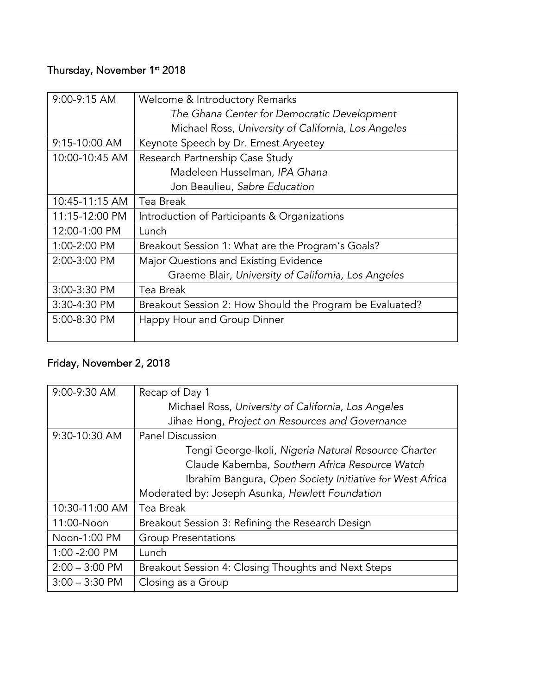## Thursday, November 1st 2018

| $9:00-9:15$ AM | Welcome & Introductory Remarks                           |
|----------------|----------------------------------------------------------|
|                | The Ghana Center for Democratic Development              |
|                | Michael Ross, University of California, Los Angeles      |
| 9:15-10:00 AM  | Keynote Speech by Dr. Ernest Aryeetey                    |
| 10:00-10:45 AM | Research Partnership Case Study                          |
|                | Madeleen Husselman, IPA Ghana                            |
|                | Jon Beaulieu, Sabre Education                            |
| 10:45-11:15 AM | Tea Break                                                |
| 11:15-12:00 PM | Introduction of Participants & Organizations             |
| 12:00-1:00 PM  | Lunch                                                    |
| 1:00-2:00 PM   | Breakout Session 1: What are the Program's Goals?        |
| 2:00-3:00 PM   | Major Questions and Existing Evidence                    |
|                | Graeme Blair, University of California, Los Angeles      |
| 3:00-3:30 PM   | Tea Break                                                |
| 3:30-4:30 PM   | Breakout Session 2: How Should the Program be Evaluated? |
| 5:00-8:30 PM   | Happy Hour and Group Dinner                              |

## Friday, November 2, 2018

| 9:00-9:30 AM     | Recap of Day 1                                           |
|------------------|----------------------------------------------------------|
|                  | Michael Ross, University of California, Los Angeles      |
|                  | Jihae Hong, Project on Resources and Governance          |
| 9:30-10:30 AM    | <b>Panel Discussion</b>                                  |
|                  | Tengi George-Ikoli, Nigeria Natural Resource Charter     |
|                  | Claude Kabemba, Southern Africa Resource Watch           |
|                  | Ibrahim Bangura, Open Society Initiative for West Africa |
|                  | Moderated by: Joseph Asunka, Hewlett Foundation          |
| 10:30-11:00 AM   | Tea Break                                                |
| 11:00-Noon       | Breakout Session 3: Refining the Research Design         |
| Noon-1:00 PM     | <b>Group Presentations</b>                               |
| 1:00 -2:00 PM    | Lunch                                                    |
| $2:00 - 3:00$ PM | Breakout Session 4: Closing Thoughts and Next Steps      |
| $3:00 - 3:30$ PM | Closing as a Group                                       |